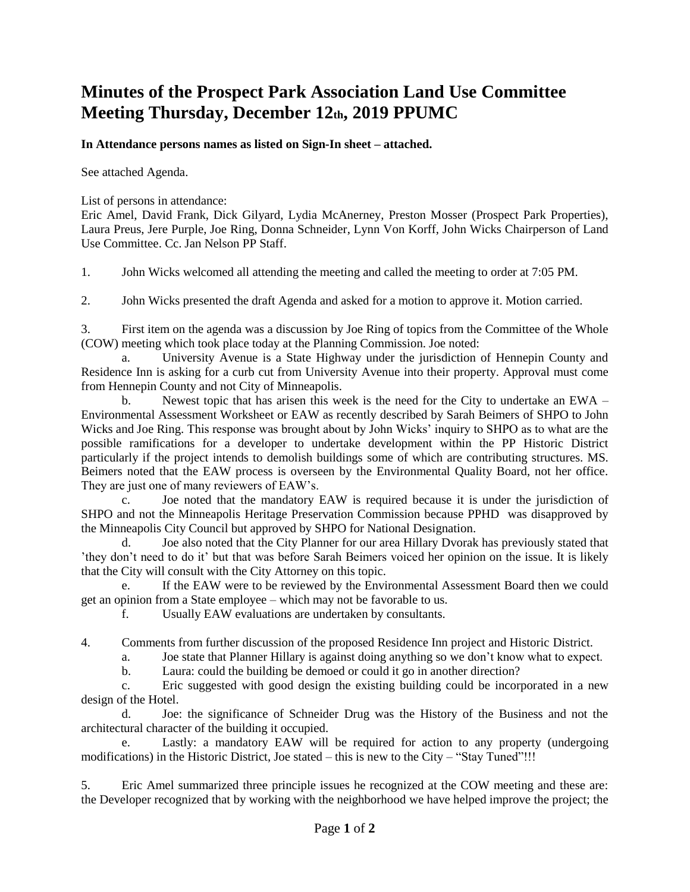## **Minutes of the Prospect Park Association Land Use Committee Meeting Thursday, December 12th, 2019 PPUMC**

## **In Attendance persons names as listed on Sign-In sheet – attached.**

See attached Agenda.

List of persons in attendance:

Eric Amel, David Frank, Dick Gilyard, Lydia McAnerney, Preston Mosser (Prospect Park Properties), Laura Preus, Jere Purple, Joe Ring, Donna Schneider, Lynn Von Korff, John Wicks Chairperson of Land Use Committee. Cc. Jan Nelson PP Staff.

1. John Wicks welcomed all attending the meeting and called the meeting to order at 7:05 PM.

2. John Wicks presented the draft Agenda and asked for a motion to approve it. Motion carried.

3. First item on the agenda was a discussion by Joe Ring of topics from the Committee of the Whole (COW) meeting which took place today at the Planning Commission. Joe noted:

a. University Avenue is a State Highway under the jurisdiction of Hennepin County and Residence Inn is asking for a curb cut from University Avenue into their property. Approval must come from Hennepin County and not City of Minneapolis.

b. Newest topic that has arisen this week is the need for the City to undertake an EWA – Environmental Assessment Worksheet or EAW as recently described by Sarah Beimers of SHPO to John Wicks and Joe Ring. This response was brought about by John Wicks' inquiry to SHPO as to what are the possible ramifications for a developer to undertake development within the PP Historic District particularly if the project intends to demolish buildings some of which are contributing structures. MS. Beimers noted that the EAW process is overseen by the Environmental Quality Board, not her office. They are just one of many reviewers of EAW's.

c. Joe noted that the mandatory EAW is required because it is under the jurisdiction of SHPO and not the Minneapolis Heritage Preservation Commission because PPHD was disapproved by the Minneapolis City Council but approved by SHPO for National Designation.

d. Joe also noted that the City Planner for our area Hillary Dvorak has previously stated that 'they don't need to do it' but that was before Sarah Beimers voiced her opinion on the issue. It is likely that the City will consult with the City Attorney on this topic.

e. If the EAW were to be reviewed by the Environmental Assessment Board then we could get an opinion from a State employee – which may not be favorable to us.

f. Usually EAW evaluations are undertaken by consultants.

4. Comments from further discussion of the proposed Residence Inn project and Historic District.

a. Joe state that Planner Hillary is against doing anything so we don't know what to expect.

b. Laura: could the building be demoed or could it go in another direction?

c. Eric suggested with good design the existing building could be incorporated in a new design of the Hotel.

d. Joe: the significance of Schneider Drug was the History of the Business and not the architectural character of the building it occupied.

e. Lastly: a mandatory EAW will be required for action to any property (undergoing modifications) in the Historic District, Joe stated – this is new to the City – "Stay Tuned"!!!

5. Eric Amel summarized three principle issues he recognized at the COW meeting and these are: the Developer recognized that by working with the neighborhood we have helped improve the project; the